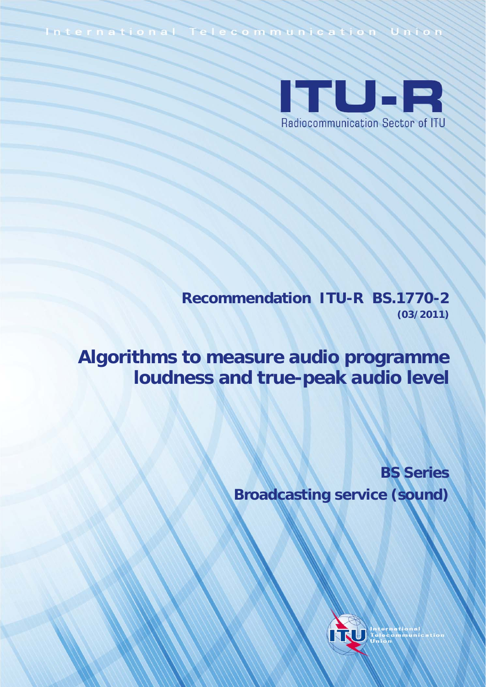International Telecommunication Unio



**Recommendation ITU-R BS.1770-2 (03/2011)**

**Algorithms to measure audio programme loudness and true-peak audio level**

> **BS Series Broadcasting service (sound)**

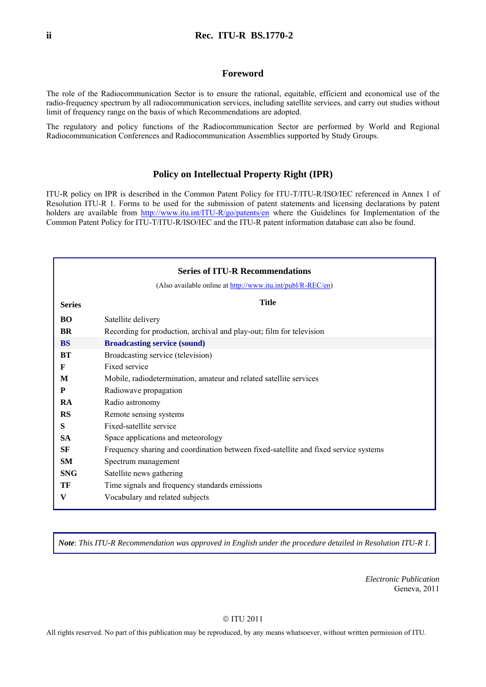#### **Foreword**

The role of the Radiocommunication Sector is to ensure the rational, equitable, efficient and economical use of the radio-frequency spectrum by all radiocommunication services, including satellite services, and carry out studies without limit of frequency range on the basis of which Recommendations are adopted.

The regulatory and policy functions of the Radiocommunication Sector are performed by World and Regional Radiocommunication Conferences and Radiocommunication Assemblies supported by Study Groups.

#### **Policy on Intellectual Property Right (IPR)**

ITU-R policy on IPR is described in the Common Patent Policy for ITU-T/ITU-R/ISO/IEC referenced in Annex 1 of Resolution ITU-R 1. Forms to be used for the submission of patent statements and licensing declarations by patent holders are available from <http://www.itu.int/ITU-R/go/patents/en>where the Guidelines for Implementation of the Common Patent Policy for ITU-T/ITU-R/ISO/IEC and the ITU-R patent information database can also be found.

| <b>Series of ITU-R Recommendations</b> |                                                                                      |  |  |
|----------------------------------------|--------------------------------------------------------------------------------------|--|--|
|                                        | (Also available online at http://www.itu.int/publ/R-REC/en)                          |  |  |
| <b>Series</b>                          | <b>Title</b>                                                                         |  |  |
| BO                                     | Satellite delivery                                                                   |  |  |
| <b>BR</b>                              | Recording for production, archival and play-out; film for television                 |  |  |
| <b>BS</b>                              | <b>Broadcasting service (sound)</b>                                                  |  |  |
| BT                                     | Broadcasting service (television)                                                    |  |  |
| F                                      | Fixed service                                                                        |  |  |
| M                                      | Mobile, radiodetermination, amateur and related satellite services                   |  |  |
| P                                      | Radiowave propagation                                                                |  |  |
| RA                                     | Radio astronomy                                                                      |  |  |
| <b>RS</b>                              | Remote sensing systems                                                               |  |  |
| S                                      | Fixed-satellite service                                                              |  |  |
| <b>SA</b>                              | Space applications and meteorology                                                   |  |  |
| SF                                     | Frequency sharing and coordination between fixed-satellite and fixed service systems |  |  |
| SM                                     | Spectrum management                                                                  |  |  |
| <b>SNG</b>                             | Satellite news gathering                                                             |  |  |
| TF                                     | Time signals and frequency standards emissions                                       |  |  |
| V                                      | Vocabulary and related subjects                                                      |  |  |

*Note*: *This ITU-R Recommendation was approved in English under the procedure detailed in Resolution ITU-R 1.*

*Electronic Publication*  Geneva, 2011

#### © ITU 2011

All rights reserved. No part of this publication may be reproduced, by any means whatsoever, without written permission of ITU.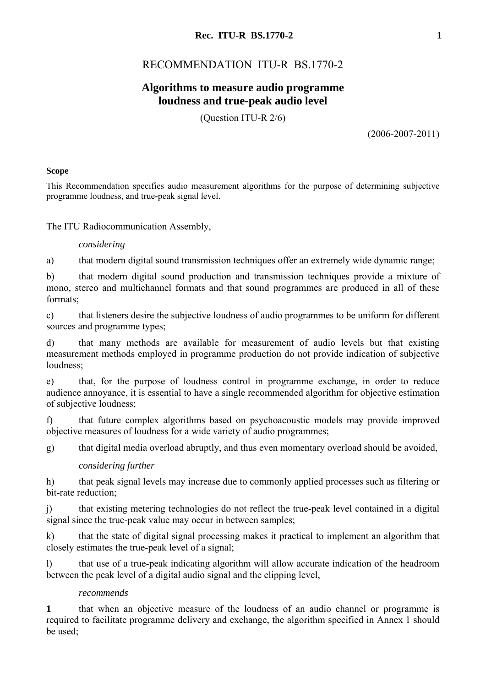# **Rec. ITU-R BS.1770-2 1**

# RECOMMENDATION ITU-R BS.1770-2

# **Algorithms to measure audio programme loudness and true-peak audio level**

(Question ITU-R 2/6)

(2006-2007-2011)

## **Scope**

This Recommendation specifies audio measurement algorithms for the purpose of determining subjective programme loudness, and true-peak signal level.

The ITU Radiocommunication Assembly,

## *considering*

a) that modern digital sound transmission techniques offer an extremely wide dynamic range;

b) that modern digital sound production and transmission techniques provide a mixture of mono, stereo and multichannel formats and that sound programmes are produced in all of these formats;

c) that listeners desire the subjective loudness of audio programmes to be uniform for different sources and programme types;

d) that many methods are available for measurement of audio levels but that existing measurement methods employed in programme production do not provide indication of subjective loudness<sup>.</sup>

e) that, for the purpose of loudness control in programme exchange, in order to reduce audience annoyance, it is essential to have a single recommended algorithm for objective estimation of subjective loudness;

f) that future complex algorithms based on psychoacoustic models may provide improved objective measures of loudness for a wide variety of audio programmes;

g) that digital media overload abruptly, and thus even momentary overload should be avoided,

## *considering further*

h) that peak signal levels may increase due to commonly applied processes such as filtering or bit-rate reduction;

j) that existing metering technologies do not reflect the true-peak level contained in a digital signal since the true-peak value may occur in between samples;

k) that the state of digital signal processing makes it practical to implement an algorithm that closely estimates the true-peak level of a signal;

l) that use of a true-peak indicating algorithm will allow accurate indication of the headroom between the peak level of a digital audio signal and the clipping level,

## *recommends*

**1** that when an objective measure of the loudness of an audio channel or programme is required to facilitate programme delivery and exchange, the algorithm specified in Annex 1 should be used;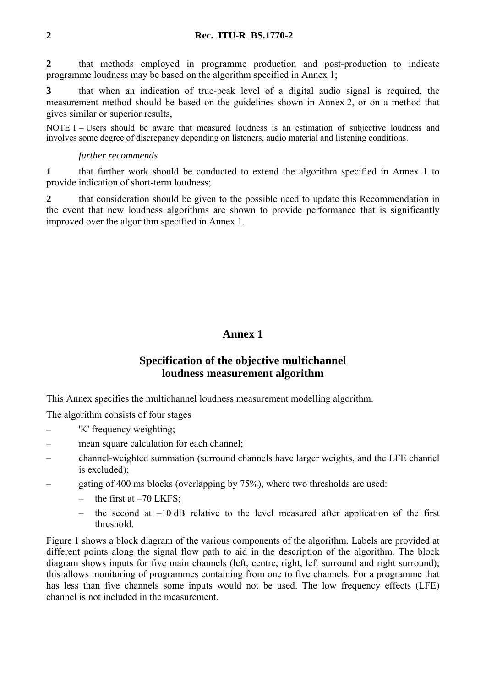**2** that methods employed in programme production and post-production to indicate programme loudness may be based on the algorithm specified in Annex 1;

**3** that when an indication of true-peak level of a digital audio signal is required, the measurement method should be based on the guidelines shown in Annex 2, or on a method that gives similar or superior results,

NOTE 1 – Users should be aware that measured loudness is an estimation of subjective loudness and involves some degree of discrepancy depending on listeners, audio material and listening conditions.

## *further recommends*

**1** that further work should be conducted to extend the algorithm specified in Annex 1 to provide indication of short-term loudness;

**2** that consideration should be given to the possible need to update this Recommendation in the event that new loudness algorithms are shown to provide performance that is significantly improved over the algorithm specified in Annex 1.

# **Annex 1**

# **Specification of the objective multichannel loudness measurement algorithm**

This Annex specifies the multichannel loudness measurement modelling algorithm.

The algorithm consists of four stages

- 'K' frequency weighting;
- mean square calculation for each channel;
- channel-weighted summation (surround channels have larger weights, and the LFE channel is excluded);
- gating of 400 ms blocks (overlapping by 75%), where two thresholds are used:
	- the first at  $-70$  LKFS;
	- the second at  $-10$  dB relative to the level measured after application of the first threshold.

Figure 1 shows a block diagram of the various components of the algorithm. Labels are provided at different points along the signal flow path to aid in the description of the algorithm. The block diagram shows inputs for five main channels (left, centre, right, left surround and right surround); this allows monitoring of programmes containing from one to five channels. For a programme that has less than five channels some inputs would not be used. The low frequency effects (LFE) channel is not included in the measurement.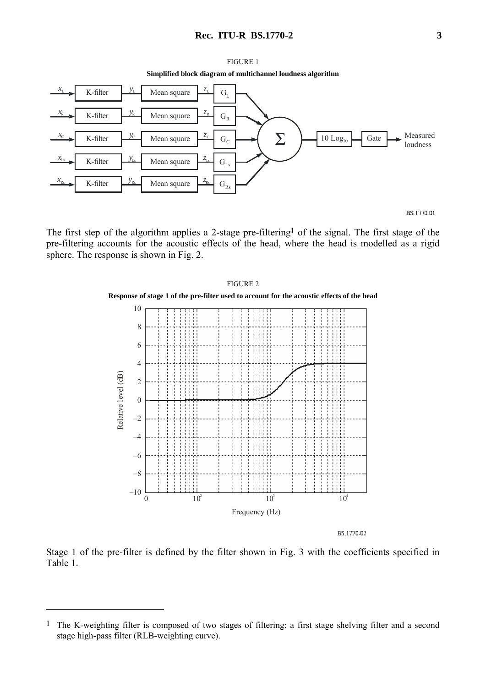### **Rec. ITU-R BS.1770-2 3**



**Simplified block diagram of multichannel loudness algorithm** 



The first step of the algorithm applies a 2-stage pre-filtering<sup>1</sup> of the signal. The first stage of the pre-filtering accounts for the acoustic effects of the head, where the head is modelled as a rigid sphere. The response is shown in Fig. 2.



BS.1770-02

Stage 1 of the pre-filter is defined by the filter shown in Fig. 3 with the coefficients specified in Table 1.

 $\overline{a}$ 

<sup>&</sup>lt;sup>1</sup> The K-weighting filter is composed of two stages of filtering; a first stage shelving filter and a second stage high-pass filter (RLB-weighting curve).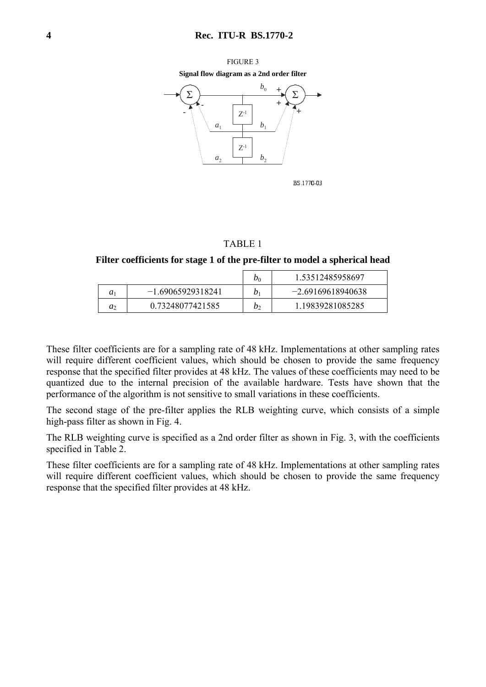#### FIGURE 3

**Signal flow diagram as a 2nd order filter** 



BS.1770-03

#### TABLE 1

#### **Filter coefficients for stage 1 of the pre-filter to model a spherical head**

|                |                     | $v_0$            | 1.53512485958697    |
|----------------|---------------------|------------------|---------------------|
| a <sub>1</sub> | $-1.69065929318241$ | $\mathfrak{D}_1$ | $-2.69169618940638$ |
| $a_2$          | 0.73248077421585    | b١               | 1.19839281085285    |

These filter coefficients are for a sampling rate of 48 kHz. Implementations at other sampling rates will require different coefficient values, which should be chosen to provide the same frequency response that the specified filter provides at 48 kHz. The values of these coefficients may need to be quantized due to the internal precision of the available hardware. Tests have shown that the performance of the algorithm is not sensitive to small variations in these coefficients.

The second stage of the pre-filter applies the RLB weighting curve, which consists of a simple high-pass filter as shown in Fig. 4.

The RLB weighting curve is specified as a 2nd order filter as shown in Fig. 3, with the coefficients specified in Table 2.

These filter coefficients are for a sampling rate of 48 kHz. Implementations at other sampling rates will require different coefficient values, which should be chosen to provide the same frequency response that the specified filter provides at 48 kHz.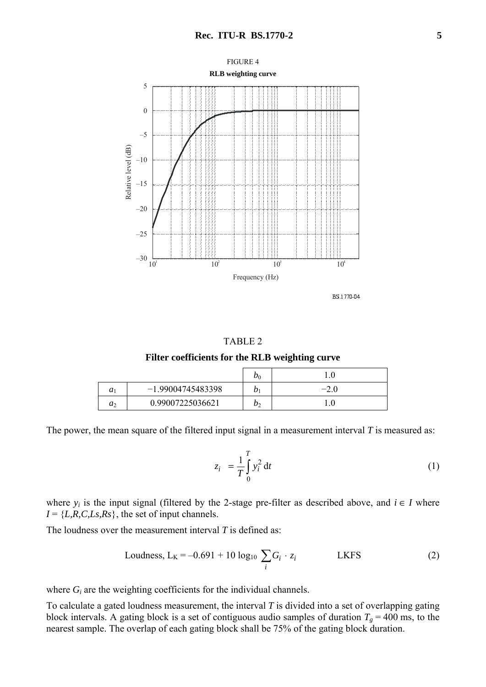

BS.1770-04

#### TABLE 2

**Filter coefficients for the RLB weighting curve** 

|                |                     | $\nu_0$ |        |
|----------------|---------------------|---------|--------|
| a <sub>1</sub> | $-1.99004745483398$ |         | $-2.0$ |
| $a_2$          | 0.99007225036621    |         |        |

The power, the mean square of the filtered input signal in a measurement interval *T* is measured as:

$$
z_i = \frac{1}{T} \int_0^T y_i^2 dt
$$
 (1)

where  $y_i$  is the input signal (filtered by the 2-stage pre-filter as described above, and  $i \in I$  where  $I = \{L, R, C, Ls, Rs\}$ , the set of input channels.

The loudness over the measurement interval *T* is defined as:

Loudness, 
$$
L_K = -0.691 + 10 \log_{10} \sum_i G_i \cdot z_i
$$
 LKFS (2)

where  $G_i$  are the weighting coefficients for the individual channels.

To calculate a gated loudness measurement, the interval *T* is divided into a set of overlapping gating block intervals. A gating block is a set of contiguous audio samples of duration  $T_g = 400$  ms, to the nearest sample. The overlap of each gating block shall be 75% of the gating block duration.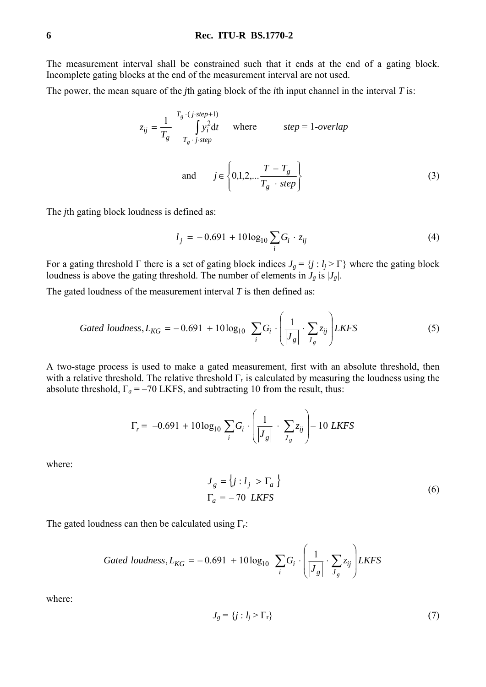### **6 Rec. ITU-R BS.1770-2**

The measurement interval shall be constrained such that it ends at the end of a gating block. Incomplete gating blocks at the end of the measurement interval are not used.

The power, the mean square of the *j*th gating block of the *i*th input channel in the interval *T* is:

$$
z_{ij} = \frac{1}{T_g} \int_{T_g \cdot j \cdot step + 1}^{T_g \cdot (j \cdot step + 1)} \text{where} \qquad \text{step} = 1 \text{-overlap}
$$
  
and 
$$
j \in \left\{ 0, 1, 2, \dots \frac{T - T_g}{T_g \cdot step} \right\}
$$
 (3)

The *j*th gating block loudness is defined as:

$$
l_j = -0.691 + 10\log_{10}\sum_i G_i \cdot z_{ij} \tag{4}
$$

For a gating threshold  $\Gamma$  there is a set of gating block indices  $J_g = \{j : l_j > \Gamma\}$  where the gating block loudness is above the gating threshold. The number of elements in  $J_g$  is  $|J_g|$ .

The gated loudness of the measurement interval *T* is then defined as:

Gated loudness, 
$$
L_{KG} = -0.691 + 10 \log_{10} \sum_{i} G_i \cdot \left(\frac{1}{|J_g|} \cdot \sum_{J_g} z_{ij}\right) LKFS
$$
 (5)

A two-stage process is used to make a gated measurement, first with an absolute threshold, then with a relative threshold. The relative threshold  $\Gamma_r$  is calculated by measuring the loudness using the absolute threshold,  $\Gamma_a = -70$  LKFS, and subtracting 10 from the result, thus:

$$
\Gamma_r = -0.691 + 10 \log_{10} \sum_i G_i \cdot \left( \frac{1}{|J_g|} \cdot \sum_{J_g} z_{ij} \right) - 10 \; LKFS
$$

where:

$$
J_g = \{j : l_j > \Gamma_a \}
$$
  

$$
\Gamma_a = -70 \text{ LKFS}
$$
 (6)

The gated loudness can then be calculated using Γ*r*:

Gated loudness, 
$$
L_{KG} = -0.691 + 10 \log_{10} \sum_{i} G_i \cdot \left( \frac{1}{|J_g|} \cdot \sum_{J_g} z_{ij} \right) LKFS
$$

where:

$$
J_g = \{j : l_j > \Gamma_r\} \tag{7}
$$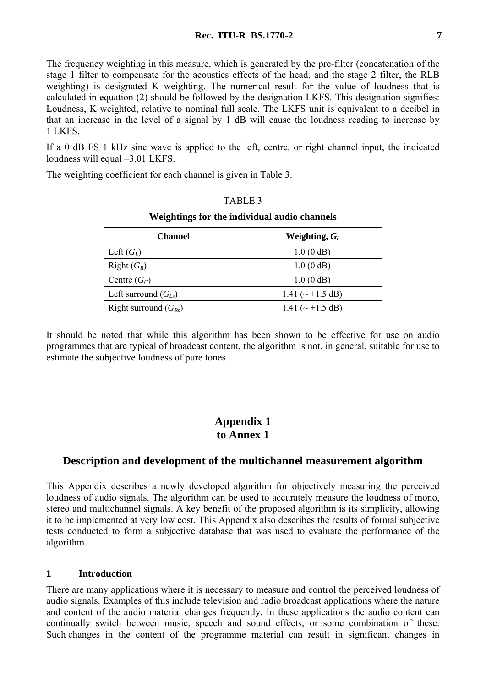The frequency weighting in this measure, which is generated by the pre-filter (concatenation of the stage 1 filter to compensate for the acoustics effects of the head, and the stage 2 filter, the RLB weighting) is designated K weighting. The numerical result for the value of loudness that is calculated in equation (2) should be followed by the designation LKFS. This designation signifies: Loudness, K weighted, relative to nominal full scale. The LKFS unit is equivalent to a decibel in that an increase in the level of a signal by 1 dB will cause the loudness reading to increase by 1 LKFS.

If a 0 dB FS 1 kHz sine wave is applied to the left, centre, or right channel input, the indicated loudness will equal –3.01 LKFS.

The weighting coefficient for each channel is given in Table 3.

### TABLE 3

#### **Weightings for the individual audio channels**

| <b>Channel</b>            | Weighting, $G_i$       |
|---------------------------|------------------------|
| Left $(G_L)$              | 1.0(0 dB)              |
| Right $(G_R)$             | 1.0(0 dB)              |
| Centre $(G_C)$            | 1.0(0 dB)              |
| Left surround $(G_{Ls})$  | 1.41 ( $\sim$ +1.5 dB) |
| Right surround $(G_{Rs})$ | 1.41 ( $\sim$ +1.5 dB) |

It should be noted that while this algorithm has been shown to be effective for use on audio programmes that are typical of broadcast content, the algorithm is not, in general, suitable for use to estimate the subjective loudness of pure tones.

# **Appendix 1 to Annex 1**

# **Description and development of the multichannel measurement algorithm**

This Appendix describes a newly developed algorithm for objectively measuring the perceived loudness of audio signals. The algorithm can be used to accurately measure the loudness of mono, stereo and multichannel signals. A key benefit of the proposed algorithm is its simplicity, allowing it to be implemented at very low cost. This Appendix also describes the results of formal subjective tests conducted to form a subjective database that was used to evaluate the performance of the algorithm.

### **1 Introduction**

There are many applications where it is necessary to measure and control the perceived loudness of audio signals. Examples of this include television and radio broadcast applications where the nature and content of the audio material changes frequently. In these applications the audio content can continually switch between music, speech and sound effects, or some combination of these. Such changes in the content of the programme material can result in significant changes in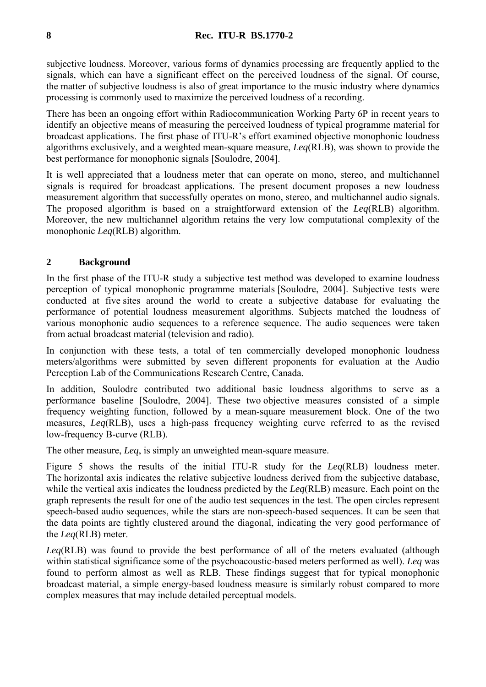### **8 Rec. ITU-R BS.1770-2**

subjective loudness. Moreover, various forms of dynamics processing are frequently applied to the signals, which can have a significant effect on the perceived loudness of the signal. Of course, the matter of subjective loudness is also of great importance to the music industry where dynamics processing is commonly used to maximize the perceived loudness of a recording.

There has been an ongoing effort within Radiocommunication Working Party 6P in recent years to identify an objective means of measuring the perceived loudness of typical programme material for broadcast applications. The first phase of ITU-R's effort examined objective monophonic loudness algorithms exclusively, and a weighted mean-square measure, *Leq*(RLB), was shown to provide the best performance for monophonic signals [Soulodre, 2004].

It is well appreciated that a loudness meter that can operate on mono, stereo, and multichannel signals is required for broadcast applications. The present document proposes a new loudness measurement algorithm that successfully operates on mono, stereo, and multichannel audio signals. The proposed algorithm is based on a straightforward extension of the *Leq*(RLB) algorithm. Moreover, the new multichannel algorithm retains the very low computational complexity of the monophonic *Leq*(RLB) algorithm.

## **2 Background**

In the first phase of the ITU-R study a subjective test method was developed to examine loudness perception of typical monophonic programme materials [Soulodre, 2004]. Subjective tests were conducted at five sites around the world to create a subjective database for evaluating the performance of potential loudness measurement algorithms. Subjects matched the loudness of various monophonic audio sequences to a reference sequence. The audio sequences were taken from actual broadcast material (television and radio).

In conjunction with these tests, a total of ten commercially developed monophonic loudness meters/algorithms were submitted by seven different proponents for evaluation at the Audio Perception Lab of the Communications Research Centre, Canada.

In addition, Soulodre contributed two additional basic loudness algorithms to serve as a performance baseline [Soulodre, 2004]. These two objective measures consisted of a simple frequency weighting function, followed by a mean-square measurement block. One of the two measures, *Leq*(RLB), uses a high-pass frequency weighting curve referred to as the revised low-frequency B-curve (RLB).

The other measure, *Leq*, is simply an unweighted mean-square measure.

Figure 5 shows the results of the initial ITU-R study for the *Leq*(RLB) loudness meter. The horizontal axis indicates the relative subjective loudness derived from the subjective database, while the vertical axis indicates the loudness predicted by the *Leq*(RLB) measure. Each point on the graph represents the result for one of the audio test sequences in the test. The open circles represent speech-based audio sequences, while the stars are non-speech-based sequences. It can be seen that the data points are tightly clustered around the diagonal, indicating the very good performance of the *Leq*(RLB) meter.

*Leq*(RLB) was found to provide the best performance of all of the meters evaluated (although within statistical significance some of the psychoacoustic-based meters performed as well). *Leq* was found to perform almost as well as RLB. These findings suggest that for typical monophonic broadcast material, a simple energy-based loudness measure is similarly robust compared to more complex measures that may include detailed perceptual models.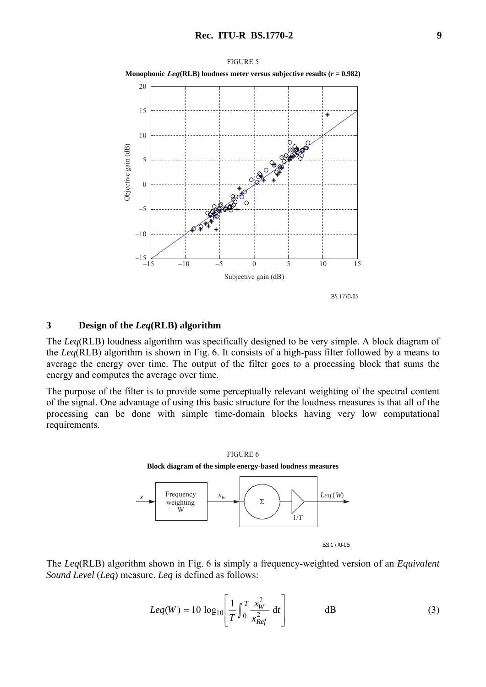



### **3 Design of the** *Leq***(RLB) algorithm**

The *Leq*(RLB) loudness algorithm was specifically designed to be very simple. A block diagram of the *Leq*(RLB) algorithm is shown in Fig. 6. It consists of a high-pass filter followed by a means to average the energy over time. The output of the filter goes to a processing block that sums the energy and computes the average over time.

The purpose of the filter is to provide some perceptually relevant weighting of the spectral content of the signal. One advantage of using this basic structure for the loudness measures is that all of the processing can be done with simple time-domain blocks having very low computational requirements.



The *Leq*(RLB) algorithm shown in Fig. 6 is simply a frequency-weighted version of an *Equivalent Sound Level* (*Leq*) measure. *Leq* is defined as follows:

$$
Leq(W) = 10 \log_{10} \left[ \frac{1}{T} \int_0^T \frac{x_W^2}{x_{Ref}^2} dt \right]
$$
 dB (3)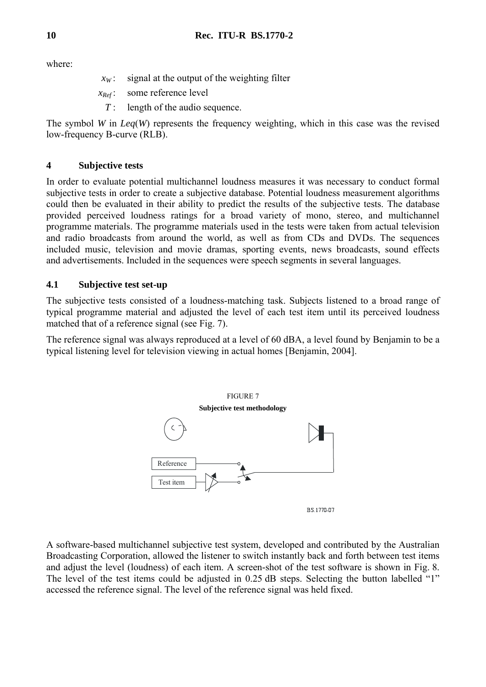where:

- $x_w$ : signal at the output of the weighting filter
- *xRef* : some reference level
- *T* : length of the audio sequence.

The symbol *W* in *Leq*(*W*) represents the frequency weighting, which in this case was the revised low-frequency B-curve (RLB).

# **4 Subjective tests**

In order to evaluate potential multichannel loudness measures it was necessary to conduct formal subjective tests in order to create a subjective database. Potential loudness measurement algorithms could then be evaluated in their ability to predict the results of the subjective tests. The database provided perceived loudness ratings for a broad variety of mono, stereo, and multichannel programme materials. The programme materials used in the tests were taken from actual television and radio broadcasts from around the world, as well as from CDs and DVDs. The sequences included music, television and movie dramas, sporting events, news broadcasts, sound effects and advertisements. Included in the sequences were speech segments in several languages.

# **4.1 Subjective test set-up**

The subjective tests consisted of a loudness-matching task. Subjects listened to a broad range of typical programme material and adjusted the level of each test item until its perceived loudness matched that of a reference signal (see Fig. 7).

The reference signal was always reproduced at a level of 60 dBA, a level found by Benjamin to be a typical listening level for television viewing in actual homes [Benjamin, 2004].



A software-based multichannel subjective test system, developed and contributed by the Australian Broadcasting Corporation, allowed the listener to switch instantly back and forth between test items and adjust the level (loudness) of each item. A screen-shot of the test software is shown in Fig. 8. The level of the test items could be adjusted in 0.25 dB steps. Selecting the button labelled "1" accessed the reference signal. The level of the reference signal was held fixed.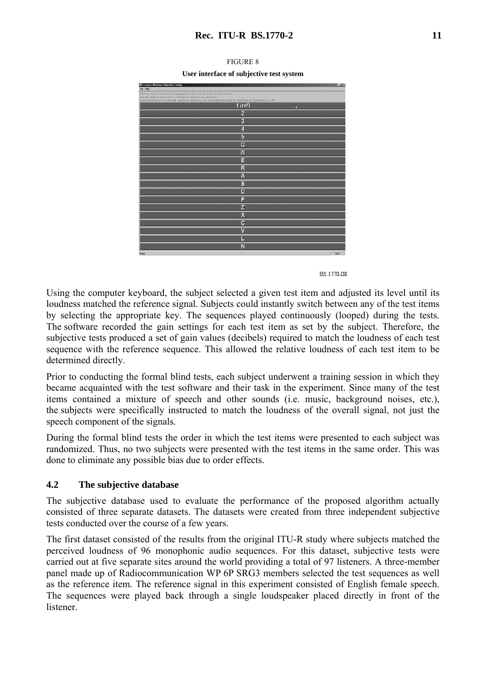| Q' Loudness Metering Subjective Testing                                                                                                                                                                                              | $-6x$ |
|--------------------------------------------------------------------------------------------------------------------------------------------------------------------------------------------------------------------------------------|-------|
| File Help                                                                                                                                                                                                                            |       |
| Silich sui ississing or valent die spyrroyfale fatter/ to Salent to die sound excerpts.<br>Den the typhom nervo hope to tetuspe die buisbesone ynut litera.<br>When sul remonster at the same subjentive buisbeson exit the programm |       |
| $1$ (ref)<br>D                                                                                                                                                                                                                       |       |
| $\overline{2}$                                                                                                                                                                                                                       |       |
| $\overline{3}$                                                                                                                                                                                                                       |       |
| $\overline{4}$                                                                                                                                                                                                                       |       |
| $\overline{5}$                                                                                                                                                                                                                       |       |
| $\overline{Q}$                                                                                                                                                                                                                       |       |
| $\overline{W}$                                                                                                                                                                                                                       |       |
| 目                                                                                                                                                                                                                                    |       |
| R                                                                                                                                                                                                                                    |       |
| A                                                                                                                                                                                                                                    |       |
| $\overline{\mathbf{s}}$                                                                                                                                                                                                              |       |
| D                                                                                                                                                                                                                                    |       |
| F                                                                                                                                                                                                                                    |       |
| z                                                                                                                                                                                                                                    |       |
| $\overline{\mathbf{x}}$                                                                                                                                                                                                              |       |
| $\overline{\mathbf{c}}$                                                                                                                                                                                                              |       |
| $\overline{\mathsf{M}}$                                                                                                                                                                                                              |       |
| L                                                                                                                                                                                                                                    |       |
| N                                                                                                                                                                                                                                    |       |
| Ready                                                                                                                                                                                                                                | NJM   |



Using the computer keyboard, the subject selected a given test item and adjusted its level until its loudness matched the reference signal. Subjects could instantly switch between any of the test items by selecting the appropriate key. The sequences played continuously (looped) during the tests. The software recorded the gain settings for each test item as set by the subject. Therefore, the subjective tests produced a set of gain values (decibels) required to match the loudness of each test sequence with the reference sequence. This allowed the relative loudness of each test item to be determined directly.

Prior to conducting the formal blind tests, each subject underwent a training session in which they became acquainted with the test software and their task in the experiment. Since many of the test items contained a mixture of speech and other sounds (i.e. music, background noises, etc.), the subjects were specifically instructed to match the loudness of the overall signal, not just the speech component of the signals.

During the formal blind tests the order in which the test items were presented to each subject was randomized. Thus, no two subjects were presented with the test items in the same order. This was done to eliminate any possible bias due to order effects.

# **4.2 The subjective database**

The subjective database used to evaluate the performance of the proposed algorithm actually consisted of three separate datasets. The datasets were created from three independent subjective tests conducted over the course of a few years.

The first dataset consisted of the results from the original ITU-R study where subjects matched the perceived loudness of 96 monophonic audio sequences. For this dataset, subjective tests were carried out at five separate sites around the world providing a total of 97 listeners. A three-member panel made up of Radiocommunication WP 6P SRG3 members selected the test sequences as well as the reference item. The reference signal in this experiment consisted of English female speech. The sequences were played back through a single loudspeaker placed directly in front of the listener.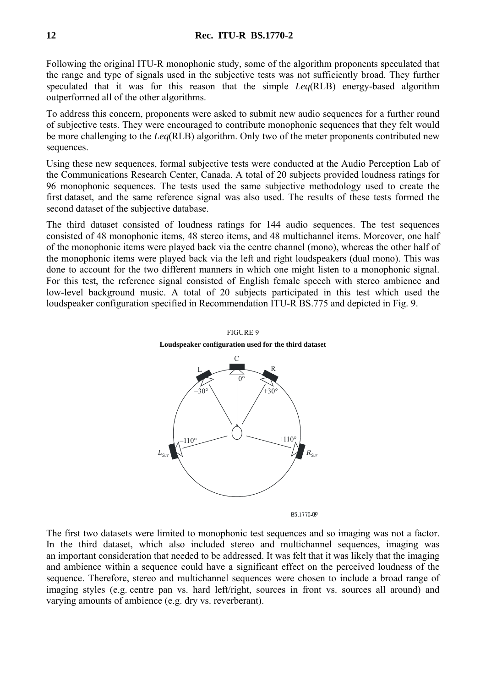Following the original ITU-R monophonic study, some of the algorithm proponents speculated that the range and type of signals used in the subjective tests was not sufficiently broad. They further speculated that it was for this reason that the simple *Leq*(RLB) energy-based algorithm outperformed all of the other algorithms.

To address this concern, proponents were asked to submit new audio sequences for a further round of subjective tests. They were encouraged to contribute monophonic sequences that they felt would be more challenging to the *Leq*(RLB) algorithm. Only two of the meter proponents contributed new sequences.

Using these new sequences, formal subjective tests were conducted at the Audio Perception Lab of the Communications Research Center, Canada. A total of 20 subjects provided loudness ratings for 96 monophonic sequences. The tests used the same subjective methodology used to create the first dataset, and the same reference signal was also used. The results of these tests formed the second dataset of the subjective database.

The third dataset consisted of loudness ratings for 144 audio sequences. The test sequences consisted of 48 monophonic items, 48 stereo items, and 48 multichannel items. Moreover, one half of the monophonic items were played back via the centre channel (mono), whereas the other half of the monophonic items were played back via the left and right loudspeakers (dual mono). This was done to account for the two different manners in which one might listen to a monophonic signal. For this test, the reference signal consisted of English female speech with stereo ambience and low-level background music. A total of 20 subjects participated in this test which used the loudspeaker configuration specified in Recommendation ITU-R BS.775 and depicted in Fig. 9.



FIGURE 9 **Loudspeaker configuration used for the third dataset** 

**BS 1770-09** 

The first two datasets were limited to monophonic test sequences and so imaging was not a factor. In the third dataset, which also included stereo and multichannel sequences, imaging was an important consideration that needed to be addressed. It was felt that it was likely that the imaging and ambience within a sequence could have a significant effect on the perceived loudness of the sequence. Therefore, stereo and multichannel sequences were chosen to include a broad range of imaging styles (e.g. centre pan vs. hard left/right, sources in front vs. sources all around) and varying amounts of ambience (e.g. dry vs. reverberant).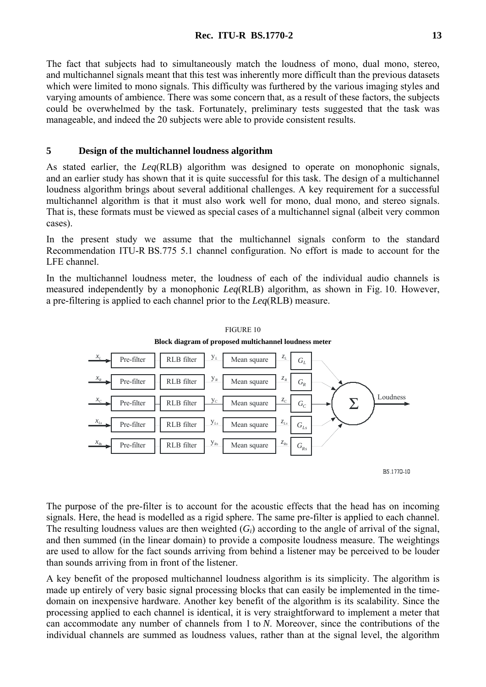The fact that subjects had to simultaneously match the loudness of mono, dual mono, stereo, and multichannel signals meant that this test was inherently more difficult than the previous datasets which were limited to mono signals. This difficulty was furthered by the various imaging styles and varying amounts of ambience. There was some concern that, as a result of these factors, the subjects could be overwhelmed by the task. Fortunately, preliminary tests suggested that the task was manageable, and indeed the 20 subjects were able to provide consistent results.

## **5 Design of the multichannel loudness algorithm**

As stated earlier, the *Leq*(RLB) algorithm was designed to operate on monophonic signals, and an earlier study has shown that it is quite successful for this task. The design of a multichannel loudness algorithm brings about several additional challenges. A key requirement for a successful multichannel algorithm is that it must also work well for mono, dual mono, and stereo signals. That is, these formats must be viewed as special cases of a multichannel signal (albeit very common cases).

In the present study we assume that the multichannel signals conform to the standard Recommendation ITU-R BS.775 5.1 channel configuration. No effort is made to account for the LFE channel.

In the multichannel loudness meter, the loudness of each of the individual audio channels is measured independently by a monophonic *Leq*(RLB) algorithm, as shown in Fig. 10. However, a pre-filtering is applied to each channel prior to the *Leq*(RLB) measure.



FIGURE 10

BS 1770-10

The purpose of the pre-filter is to account for the acoustic effects that the head has on incoming signals. Here, the head is modelled as a rigid sphere. The same pre-filter is applied to each channel. The resulting loudness values are then weighted (*Gi*) according to the angle of arrival of the signal, and then summed (in the linear domain) to provide a composite loudness measure. The weightings are used to allow for the fact sounds arriving from behind a listener may be perceived to be louder than sounds arriving from in front of the listener.

A key benefit of the proposed multichannel loudness algorithm is its simplicity. The algorithm is made up entirely of very basic signal processing blocks that can easily be implemented in the timedomain on inexpensive hardware. Another key benefit of the algorithm is its scalability. Since the processing applied to each channel is identical, it is very straightforward to implement a meter that can accommodate any number of channels from 1 to *N*. Moreover, since the contributions of the individual channels are summed as loudness values, rather than at the signal level, the algorithm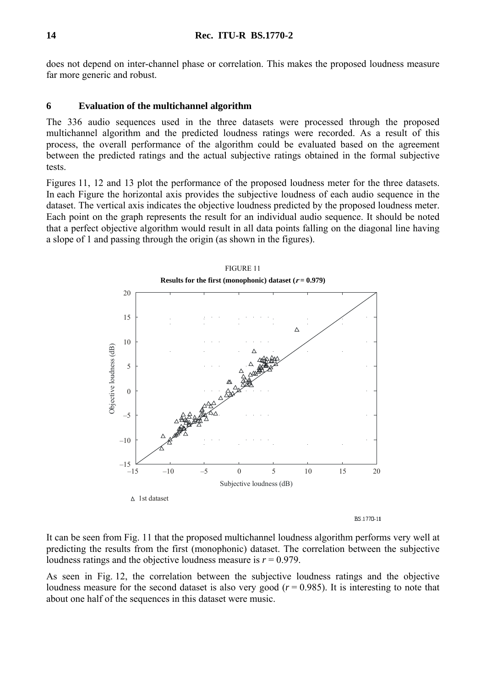does not depend on inter-channel phase or correlation. This makes the proposed loudness measure far more generic and robust.

# **6 Evaluation of the multichannel algorithm**

The 336 audio sequences used in the three datasets were processed through the proposed multichannel algorithm and the predicted loudness ratings were recorded. As a result of this process, the overall performance of the algorithm could be evaluated based on the agreement between the predicted ratings and the actual subjective ratings obtained in the formal subjective tests.

Figures 11, 12 and 13 plot the performance of the proposed loudness meter for the three datasets. In each Figure the horizontal axis provides the subjective loudness of each audio sequence in the dataset. The vertical axis indicates the objective loudness predicted by the proposed loudness meter. Each point on the graph represents the result for an individual audio sequence. It should be noted that a perfect objective algorithm would result in all data points falling on the diagonal line having a slope of 1 and passing through the origin (as shown in the figures).



BS.1770-11

It can be seen from Fig. 11 that the proposed multichannel loudness algorithm performs very well at predicting the results from the first (monophonic) dataset. The correlation between the subjective loudness ratings and the objective loudness measure is  $r = 0.979$ .

As seen in Fig. 12, the correlation between the subjective loudness ratings and the objective loudness measure for the second dataset is also very good  $(r = 0.985)$ . It is interesting to note that about one half of the sequences in this dataset were music.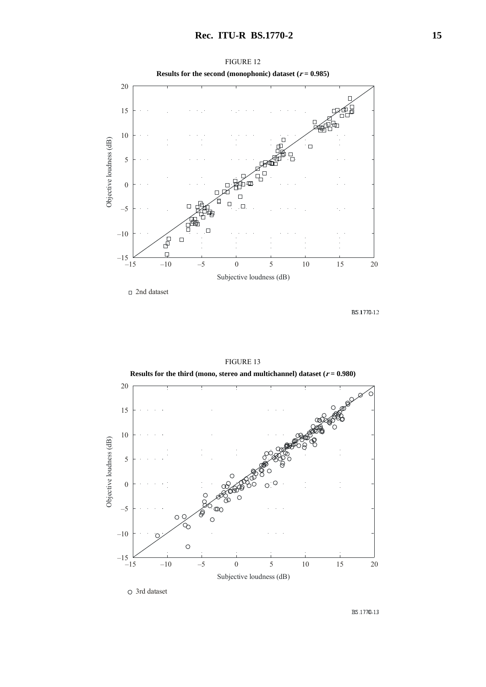

FIGURE 12

BS.1770-12



#### FIGURE 13

BS.1770-13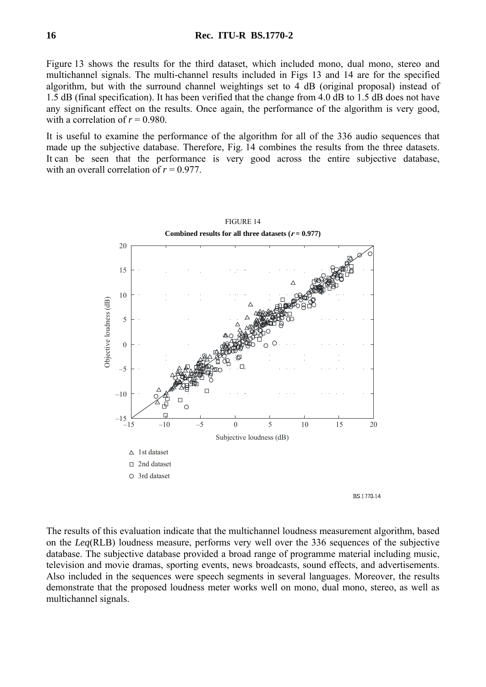### **16 Rec. ITU-R BS.1770-2**

Figure 13 shows the results for the third dataset, which included mono, dual mono, stereo and multichannel signals. The multi-channel results included in Figs 13 and 14 are for the specified algorithm, but with the surround channel weightings set to 4 dB (original proposal) instead of 1.5 dB (final specification). It has been verified that the change from 4.0 dB to 1.5 dB does not have any significant effect on the results. Once again, the performance of the algorithm is very good, with a correlation of  $r = 0.980$ .

It is useful to examine the performance of the algorithm for all of the 336 audio sequences that made up the subjective database. Therefore, Fig. 14 combines the results from the three datasets. It can be seen that the performance is very good across the entire subjective database, with an overall correlation of  $r = 0.977$ .



The results of this evaluation indicate that the multichannel loudness measurement algorithm, based on the *Leq*(RLB) loudness measure, performs very well over the 336 sequences of the subjective database. The subjective database provided a broad range of programme material including music, television and movie dramas, sporting events, news broadcasts, sound effects, and advertisements. Also included in the sequences were speech segments in several languages. Moreover, the results demonstrate that the proposed loudness meter works well on mono, dual mono, stereo, as well as multichannel signals.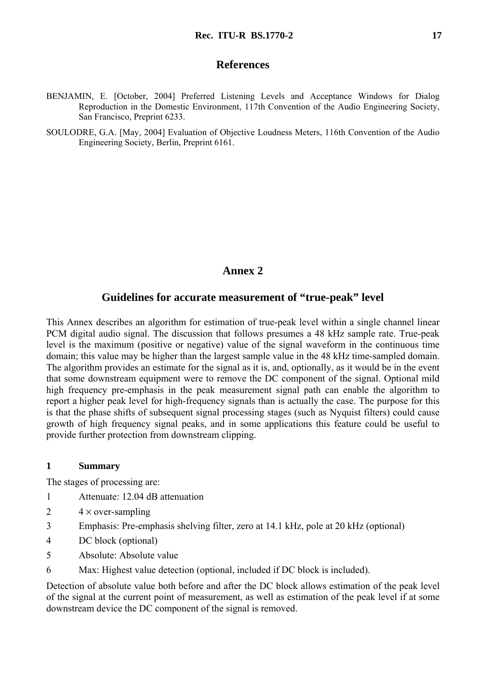# **References**

- BENJAMIN, E. [October, 2004] Preferred Listening Levels and Acceptance Windows for Dialog Reproduction in the Domestic Environment, 117th Convention of the Audio Engineering Society, San Francisco, Preprint 6233.
- SOULODRE, G.A. [May, 2004] Evaluation of Objective Loudness Meters, 116th Convention of the Audio Engineering Society, Berlin, Preprint 6161.

# **Annex 2**

# **Guidelines for accurate measurement of "true-peak" level**

This Annex describes an algorithm for estimation of true-peak level within a single channel linear PCM digital audio signal. The discussion that follows presumes a 48 kHz sample rate. True-peak level is the maximum (positive or negative) value of the signal waveform in the continuous time domain; this value may be higher than the largest sample value in the 48 kHz time-sampled domain. The algorithm provides an estimate for the signal as it is, and, optionally, as it would be in the event that some downstream equipment were to remove the DC component of the signal. Optional mild high frequency pre-emphasis in the peak measurement signal path can enable the algorithm to report a higher peak level for high-frequency signals than is actually the case. The purpose for this is that the phase shifts of subsequent signal processing stages (such as Nyquist filters) could cause growth of high frequency signal peaks, and in some applications this feature could be useful to provide further protection from downstream clipping.

## **1 Summary**

The stages of processing are:

- 1 Attenuate: 12.04 dB attenuation
- 2  $4 \times$  over-sampling
- 3 Emphasis: Pre-emphasis shelving filter, zero at 14.1 kHz, pole at 20 kHz (optional)
- 4 DC block (optional)
- 5 Absolute: Absolute value
- 6 Max: Highest value detection (optional, included if DC block is included).

Detection of absolute value both before and after the DC block allows estimation of the peak level of the signal at the current point of measurement, as well as estimation of the peak level if at some downstream device the DC component of the signal is removed.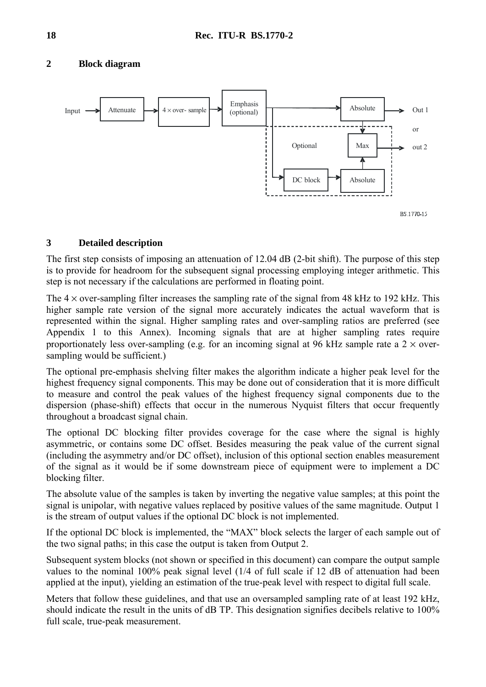# **2 Block diagram**



# **3 Detailed description**

The first step consists of imposing an attenuation of 12.04 dB (2-bit shift). The purpose of this step is to provide for headroom for the subsequent signal processing employing integer arithmetic. This step is not necessary if the calculations are performed in floating point.

The  $4 \times$  over-sampling filter increases the sampling rate of the signal from 48 kHz to 192 kHz. This higher sample rate version of the signal more accurately indicates the actual waveform that is represented within the signal. Higher sampling rates and over-sampling ratios are preferred (see Appendix 1 to this Annex). Incoming signals that are at higher sampling rates require proportionately less over-sampling (e.g. for an incoming signal at 96 kHz sample rate a  $2 \times$  oversampling would be sufficient.)

The optional pre-emphasis shelving filter makes the algorithm indicate a higher peak level for the highest frequency signal components. This may be done out of consideration that it is more difficult to measure and control the peak values of the highest frequency signal components due to the dispersion (phase-shift) effects that occur in the numerous Nyquist filters that occur frequently throughout a broadcast signal chain.

The optional DC blocking filter provides coverage for the case where the signal is highly asymmetric, or contains some DC offset. Besides measuring the peak value of the current signal (including the asymmetry and/or DC offset), inclusion of this optional section enables measurement of the signal as it would be if some downstream piece of equipment were to implement a DC blocking filter.

The absolute value of the samples is taken by inverting the negative value samples; at this point the signal is unipolar, with negative values replaced by positive values of the same magnitude. Output 1 is the stream of output values if the optional DC block is not implemented.

If the optional DC block is implemented, the "MAX" block selects the larger of each sample out of the two signal paths; in this case the output is taken from Output 2.

Subsequent system blocks (not shown or specified in this document) can compare the output sample values to the nominal 100% peak signal level (1/4 of full scale if 12 dB of attenuation had been applied at the input), yielding an estimation of the true-peak level with respect to digital full scale.

Meters that follow these guidelines, and that use an oversampled sampling rate of at least 192 kHz, should indicate the result in the units of dB TP. This designation signifies decibels relative to 100% full scale, true-peak measurement.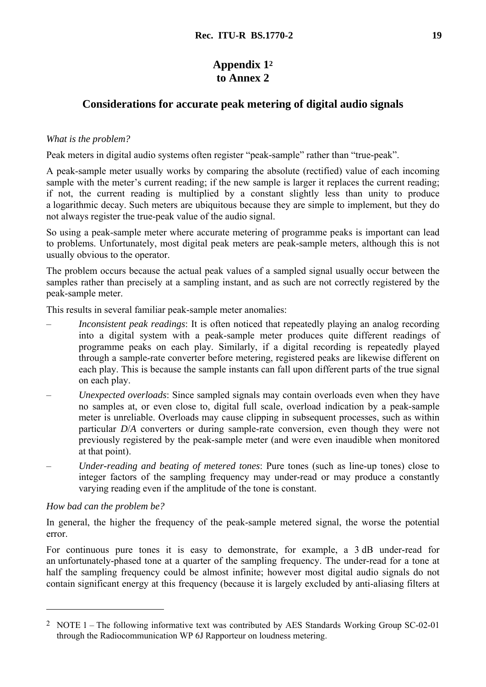# **Appendix 12 to Annex 2**

# **Considerations for accurate peak metering of digital audio signals**

# *What is the problem?*

Peak meters in digital audio systems often register "peak-sample" rather than "true-peak".

A peak-sample meter usually works by comparing the absolute (rectified) value of each incoming sample with the meter's current reading; if the new sample is larger it replaces the current reading; if not, the current reading is multiplied by a constant slightly less than unity to produce a logarithmic decay. Such meters are ubiquitous because they are simple to implement, but they do not always register the true-peak value of the audio signal.

So using a peak-sample meter where accurate metering of programme peaks is important can lead to problems. Unfortunately, most digital peak meters are peak-sample meters, although this is not usually obvious to the operator.

The problem occurs because the actual peak values of a sampled signal usually occur between the samples rather than precisely at a sampling instant, and as such are not correctly registered by the peak-sample meter.

This results in several familiar peak-sample meter anomalies:

- *Inconsistent peak readings*: It is often noticed that repeatedly playing an analog recording into a digital system with a peak-sample meter produces quite different readings of programme peaks on each play. Similarly, if a digital recording is repeatedly played through a sample-rate converter before metering, registered peaks are likewise different on each play. This is because the sample instants can fall upon different parts of the true signal on each play.
- *Unexpected overloads*: Since sampled signals may contain overloads even when they have no samples at, or even close to, digital full scale, overload indication by a peak-sample meter is unreliable. Overloads may cause clipping in subsequent processes, such as within particular *D*/*A* converters or during sample-rate conversion, even though they were not previously registered by the peak-sample meter (and were even inaudible when monitored at that point).
- *Under-reading and beating of metered tones*: Pure tones (such as line-up tones) close to integer factors of the sampling frequency may under-read or may produce a constantly varying reading even if the amplitude of the tone is constant.

# *How bad can the problem be?*

 $\overline{a}$ 

In general, the higher the frequency of the peak-sample metered signal, the worse the potential error.

For continuous pure tones it is easy to demonstrate, for example, a 3 dB under-read for an unfortunately-phased tone at a quarter of the sampling frequency. The under-read for a tone at half the sampling frequency could be almost infinite; however most digital audio signals do not contain significant energy at this frequency (because it is largely excluded by anti-aliasing filters at

<sup>2</sup> NOTE 1 – The following informative text was contributed by AES Standards Working Group SC-02-01 through the Radiocommunication WP 6J Rapporteur on loudness metering.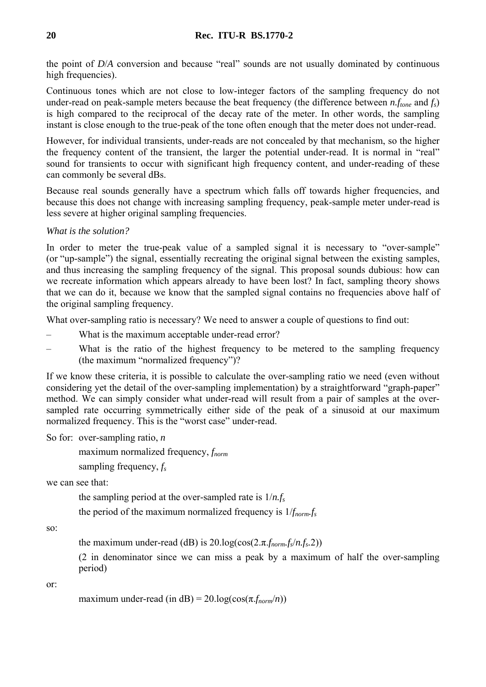the point of *D*/*A* conversion and because "real" sounds are not usually dominated by continuous high frequencies).

Continuous tones which are not close to low-integer factors of the sampling frequency do not under-read on peak-sample meters because the beat frequency (the difference between *n.ftone* and *fs*) is high compared to the reciprocal of the decay rate of the meter. In other words, the sampling instant is close enough to the true-peak of the tone often enough that the meter does not under-read.

However, for individual transients, under-reads are not concealed by that mechanism, so the higher the frequency content of the transient, the larger the potential under-read. It is normal in "real" sound for transients to occur with significant high frequency content, and under-reading of these can commonly be several dBs.

Because real sounds generally have a spectrum which falls off towards higher frequencies, and because this does not change with increasing sampling frequency, peak-sample meter under-read is less severe at higher original sampling frequencies.

*What is the solution?* 

In order to meter the true-peak value of a sampled signal it is necessary to "over-sample" (or "up-sample") the signal, essentially recreating the original signal between the existing samples, and thus increasing the sampling frequency of the signal. This proposal sounds dubious: how can we recreate information which appears already to have been lost? In fact, sampling theory shows that we can do it, because we know that the sampled signal contains no frequencies above half of the original sampling frequency.

What over-sampling ratio is necessary? We need to answer a couple of questions to find out:

- What is the maximum acceptable under-read error?
- What is the ratio of the highest frequency to be metered to the sampling frequency (the maximum "normalized frequency")?

If we know these criteria, it is possible to calculate the over-sampling ratio we need (even without considering yet the detail of the over-sampling implementation) by a straightforward "graph-paper" method. We can simply consider what under-read will result from a pair of samples at the oversampled rate occurring symmetrically either side of the peak of a sinusoid at our maximum normalized frequency. This is the "worst case" under-read.

So for: over-sampling ratio, *n*

maximum normalized frequency, *f<sub>norm</sub>* 

sampling frequency, *fs*

we can see that:

the sampling period at the over-sampled rate is  $1/n.f_s$ 

the period of the maximum normalized frequency is 1/*fnorm.fs*

so:

the maximum under-read (dB) is  $20.\log(\cos(2 \pi f_{norm}f_s/n.f_s, 2))$ 

 (2 in denominator since we can miss a peak by a maximum of half the over-sampling period)

or:

```
maximum under-read (in dB) = 20.\log(\cos(\pi.f_{norm}/n))
```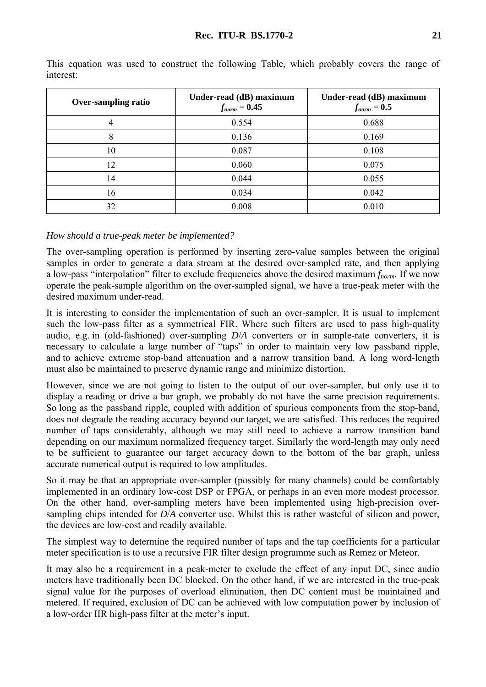| <b>Over-sampling ratio</b> | Under-read (dB) maximum<br>$f_{norm} = 0.45$ | Under-read (dB) maximum<br>$f_{norm} = 0.5$ |
|----------------------------|----------------------------------------------|---------------------------------------------|
| 4                          | 0.554                                        | 0.688                                       |
| 8                          | 0.136                                        | 0.169                                       |
| 10                         | 0.087                                        | 0.108                                       |
| 12                         | 0.060                                        | 0.075                                       |
| 14                         | 0.044                                        | 0.055                                       |
| 16                         | 0.034                                        | 0.042                                       |
| 32                         | 0.008                                        | 0.010                                       |

This equation was used to construct the following Table, which probably covers the range of interest:

# *How should a true-peak meter be implemented?*

The over-sampling operation is performed by inserting zero-value samples between the original samples in order to generate a data stream at the desired over-sampled rate, and then applying a low-pass "interpolation" filter to exclude frequencies above the desired maximum *fnorm*. If we now operate the peak-sample algorithm on the over-sampled signal, we have a true-peak meter with the desired maximum under-read.

It is interesting to consider the implementation of such an over-sampler. It is usual to implement such the low-pass filter as a symmetrical FIR. Where such filters are used to pass high-quality audio, e.g. in (old-fashioned) over-sampling *D*/*A* converters or in sample-rate converters, it is necessary to calculate a large number of "taps" in order to maintain very low passband ripple, and to achieve extreme stop-band attenuation and a narrow transition band. A long word-length must also be maintained to preserve dynamic range and minimize distortion.

However, since we are not going to listen to the output of our over-sampler, but only use it to display a reading or drive a bar graph, we probably do not have the same precision requirements. So long as the passband ripple, coupled with addition of spurious components from the stop-band, does not degrade the reading accuracy beyond our target, we are satisfied. This reduces the required number of taps considerably, although we may still need to achieve a narrow transition band depending on our maximum normalized frequency target. Similarly the word-length may only need to be sufficient to guarantee our target accuracy down to the bottom of the bar graph, unless accurate numerical output is required to low amplitudes.

So it may be that an appropriate over-sampler (possibly for many channels) could be comfortably implemented in an ordinary low-cost DSP or FPGA, or perhaps in an even more modest processor. On the other hand, over-sampling meters have been implemented using high-precision oversampling chips intended for *D*/*A* converter use. Whilst this is rather wasteful of silicon and power, the devices are low-cost and readily available.

The simplest way to determine the required number of taps and the tap coefficients for a particular meter specification is to use a recursive FIR filter design programme such as Remez or Meteor.

It may also be a requirement in a peak-meter to exclude the effect of any input DC, since audio meters have traditionally been DC blocked. On the other hand, if we are interested in the true-peak signal value for the purposes of overload elimination, then DC content must be maintained and metered. If required, exclusion of DC can be achieved with low computation power by inclusion of a low-order IIR high-pass filter at the meter's input.